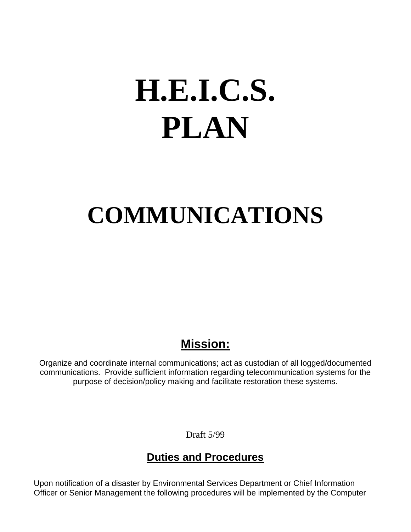# **H.E.I.C.S. PLAN**

# **COMMUNICATIONS**

### **Mission:**

Organize and coordinate internal communications; act as custodian of all logged/documented communications. Provide sufficient information regarding telecommunication systems for the purpose of decision/policy making and facilitate restoration these systems.

Draft 5/99

### **Duties and Procedures**

Upon notification of a disaster by Environmental Services Department or Chief Information Officer or Senior Management the following procedures will be implemented by the Computer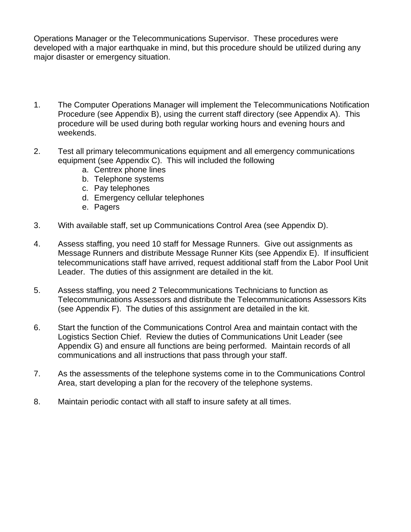Operations Manager or the Telecommunications Supervisor. These procedures were developed with a major earthquake in mind, but this procedure should be utilized during any major disaster or emergency situation.

- 1. The Computer Operations Manager will implement the Telecommunications Notification Procedure (see Appendix B), using the current staff directory (see Appendix A). This procedure will be used during both regular working hours and evening hours and weekends.
- 2. Test all primary telecommunications equipment and all emergency communications equipment (see Appendix C). This will included the following
	- a. Centrex phone lines
	- b. Telephone systems
	- c. Pay telephones
	- d. Emergency cellular telephones
	- e. Pagers
- 3. With available staff, set up Communications Control Area (see Appendix D).
- 4. Assess staffing, you need 10 staff for Message Runners. Give out assignments as Message Runners and distribute Message Runner Kits (see Appendix E). If insufficient telecommunications staff have arrived, request additional staff from the Labor Pool Unit Leader. The duties of this assignment are detailed in the kit.
- 5. Assess staffing, you need 2 Telecommunications Technicians to function as Telecommunications Assessors and distribute the Telecommunications Assessors Kits (see Appendix F). The duties of this assignment are detailed in the kit.
- 6. Start the function of the Communications Control Area and maintain contact with the Logistics Section Chief. Review the duties of Communications Unit Leader (see Appendix G) and ensure all functions are being performed. Maintain records of all communications and all instructions that pass through your staff.
- 7. As the assessments of the telephone systems come in to the Communications Control Area, start developing a plan for the recovery of the telephone systems.
- 8. Maintain periodic contact with all staff to insure safety at all times.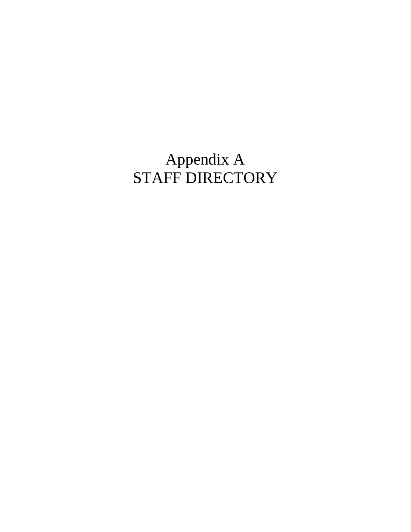## Appendix A STAFF DIRECTORY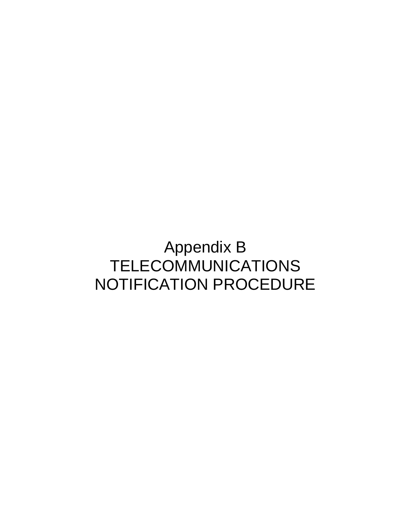### Appendix B TELECOMMUNICATIONS NOTIFICATION PROCEDURE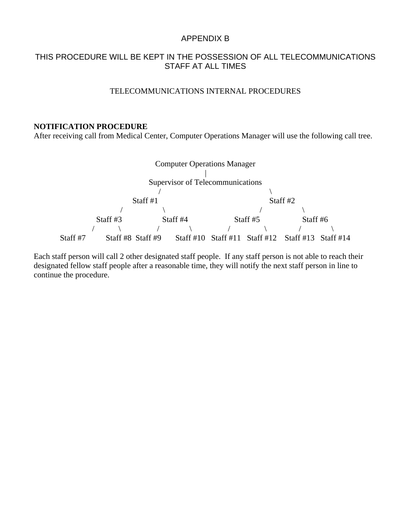#### APPENDIX B

#### THIS PROCEDURE WILL BE KEPT IN THE POSSESSION OF ALL TELECOMMUNICATIONS STAFF AT ALL TIMES

#### TELECOMMUNICATIONS INTERNAL PROCEDURES

#### **NOTIFICATION PROCEDURE**

After receiving call from Medical Center, Computer Operations Manager will use the following call tree.



Each staff person will call 2 other designated staff people. If any staff person is not able to reach their designated fellow staff people after a reasonable time, they will notify the next staff person in line to continue the procedure.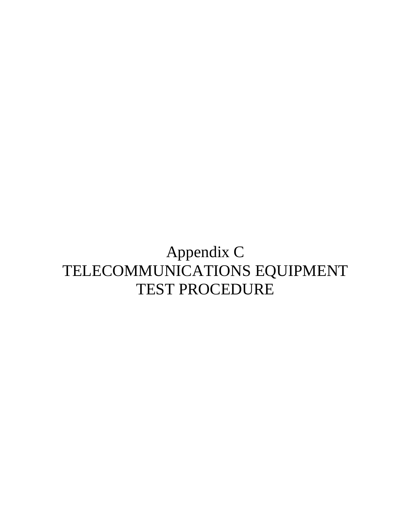### Appendix C TELECOMMUNICATIONS EQUIPMENT TEST PROCEDURE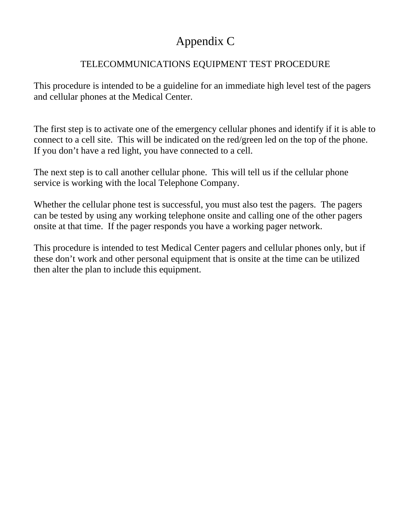### Appendix C

#### TELECOMMUNICATIONS EQUIPMENT TEST PROCEDURE

This procedure is intended to be a guideline for an immediate high level test of the pagers and cellular phones at the Medical Center.

The first step is to activate one of the emergency cellular phones and identify if it is able to connect to a cell site. This will be indicated on the red/green led on the top of the phone. If you don't have a red light, you have connected to a cell.

The next step is to call another cellular phone. This will tell us if the cellular phone service is working with the local Telephone Company.

Whether the cellular phone test is successful, you must also test the pagers. The pagers can be tested by using any working telephone onsite and calling one of the other pagers onsite at that time. If the pager responds you have a working pager network.

This procedure is intended to test Medical Center pagers and cellular phones only, but if these don't work and other personal equipment that is onsite at the time can be utilized then alter the plan to include this equipment.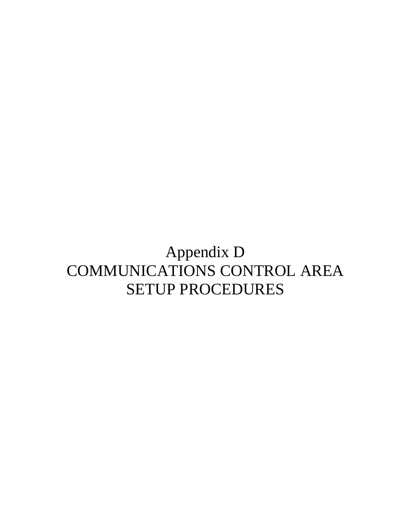### Appendix D COMMUNICATIONS CONTROL AREA SETUP PROCEDURES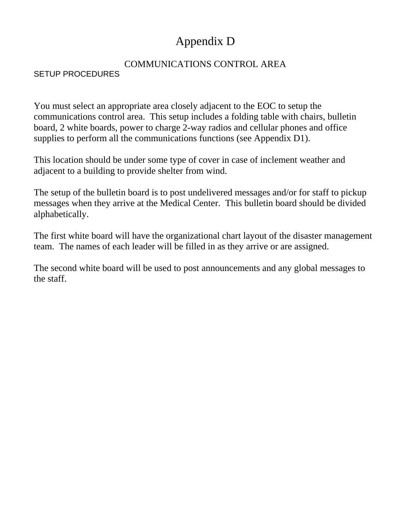### Appendix D

#### COMMUNICATIONS CONTROL AREA

#### SETUP PROCEDURES

You must select an appropriate area closely adjacent to the EOC to setup the communications control area. This setup includes a folding table with chairs, bulletin board, 2 white boards, power to charge 2-way radios and cellular phones and office supplies to perform all the communications functions (see Appendix D1).

This location should be under some type of cover in case of inclement weather and adjacent to a building to provide shelter from wind.

The setup of the bulletin board is to post undelivered messages and/or for staff to pickup messages when they arrive at the Medical Center. This bulletin board should be divided alphabetically.

The first white board will have the organizational chart layout of the disaster management team. The names of each leader will be filled in as they arrive or are assigned.

The second white board will be used to post announcements and any global messages to the staff.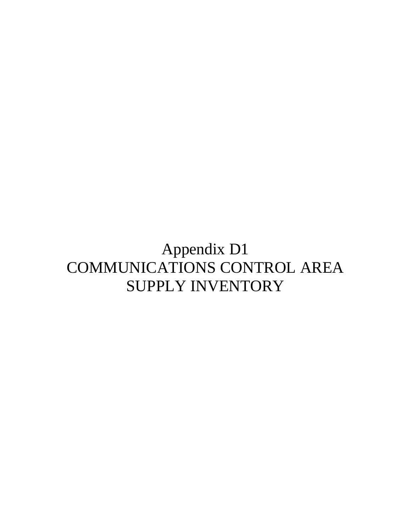## Appendix D1 COMMUNICATIONS CONTROL AREA SUPPLY INVENTORY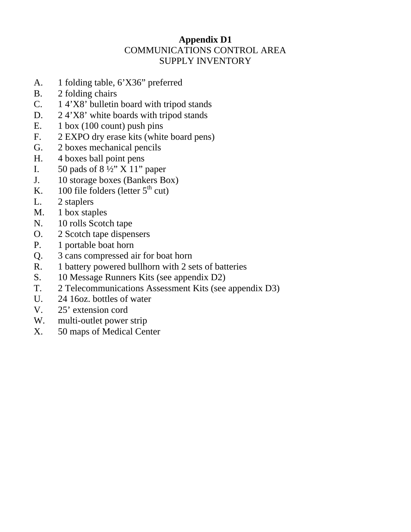#### **Appendix D1**  COMMUNICATIONS CONTROL AREA SUPPLY INVENTORY

- A. 1 folding table, 6'X36" preferred
- B. 2 folding chairs
- C. 1 4'X8' bulletin board with tripod stands
- D. 2 4'X8' white boards with tripod stands
- E. 1 box (100 count) push pins
- F. 2 EXPO dry erase kits (white board pens)
- G. 2 boxes mechanical pencils
- H. 4 boxes ball point pens
- I.  $50$  pads of  $8\frac{1}{2}$ " X 11" paper
- J. 10 storage boxes (Bankers Box)
- K.  $100$  file folders (letter  $5<sup>th</sup>$  cut)
- L. 2 staplers
- M. 1 box staples
- N. 10 rolls Scotch tape
- O. 2 Scotch tape dispensers
- P. 1 portable boat horn
- Q. 3 cans compressed air for boat horn
- R. 1 battery powered bullhorn with 2 sets of batteries
- S. 10 Message Runners Kits (see appendix D2)
- T. 2 Telecommunications Assessment Kits (see appendix D3)
- U. 24 16oz. bottles of water
- V. 25' extension cord
- W. multi-outlet power strip
- X. 50 maps of Medical Center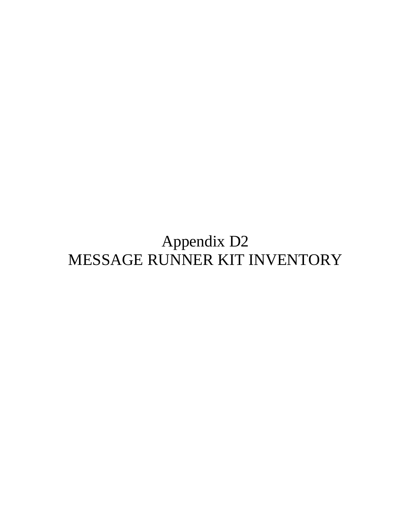# Appendix D2 MESSAGE RUNNER KIT INVENTORY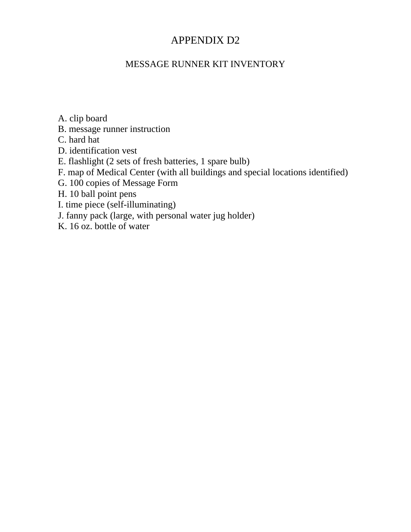#### APPENDIX D2

#### MESSAGE RUNNER KIT INVENTORY

A. clip board

- B. message runner instruction
- C. hard hat
- D. identification vest
- E. flashlight (2 sets of fresh batteries, 1 spare bulb)
- F. map of Medical Center (with all buildings and special locations identified)
- G. 100 copies of Message Form
- H. 10 ball point pens
- I. time piece (self-illuminating)
- J. fanny pack (large, with personal water jug holder)
- K. 16 oz. bottle of water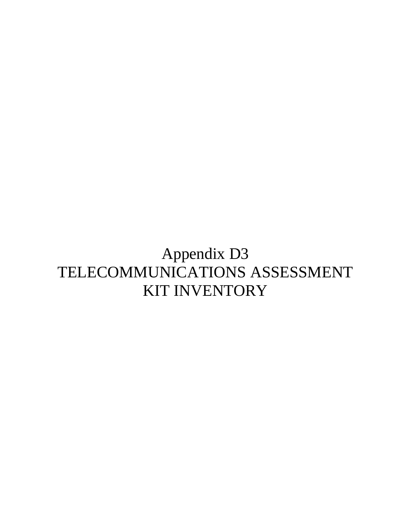## Appendix D3 TELECOMMUNICATIONS ASSESSMENT KIT INVENTORY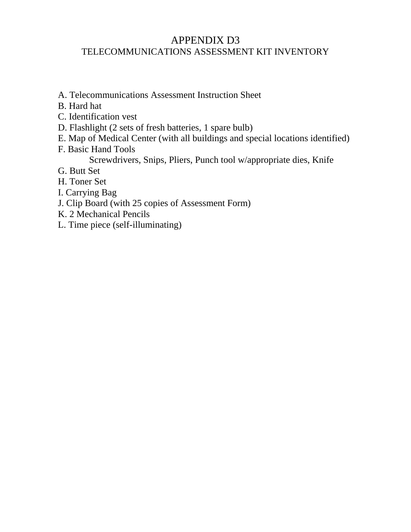#### APPENDIX D3 TELECOMMUNICATIONS ASSESSMENT KIT INVENTORY

- A. Telecommunications Assessment Instruction Sheet
- B. Hard hat
- C. Identification vest
- D. Flashlight (2 sets of fresh batteries, 1 spare bulb)
- E. Map of Medical Center (with all buildings and special locations identified)
- F. Basic Hand Tools
	- Screwdrivers, Snips, Pliers, Punch tool w/appropriate dies, Knife
- G. Butt Set
- H. Toner Set
- I. Carrying Bag
- J. Clip Board (with 25 copies of Assessment Form)
- K. 2 Mechanical Pencils
- L. Time piece (self-illuminating)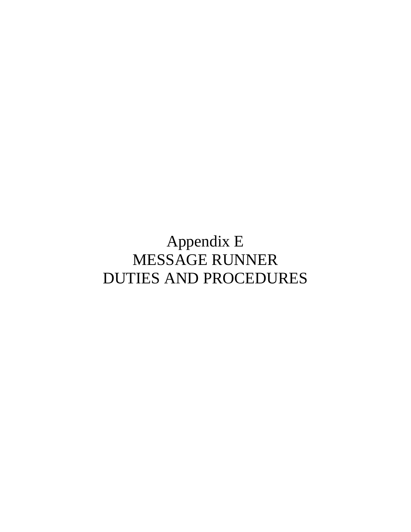# Appendix E MESSAGE RUNNER DUTIES AND PROCEDURES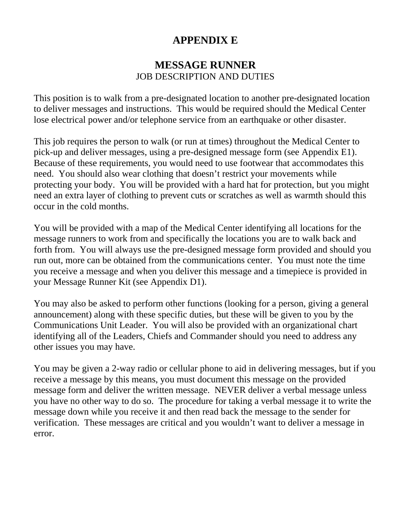#### **APPENDIX E**

#### **MESSAGE RUNNER**  JOB DESCRIPTION AND DUTIES

This position is to walk from a pre-designated location to another pre-designated location to deliver messages and instructions. This would be required should the Medical Center lose electrical power and/or telephone service from an earthquake or other disaster.

This job requires the person to walk (or run at times) throughout the Medical Center to pick-up and deliver messages, using a pre-designed message form (see Appendix E1). Because of these requirements, you would need to use footwear that accommodates this need. You should also wear clothing that doesn't restrict your movements while protecting your body. You will be provided with a hard hat for protection, but you might need an extra layer of clothing to prevent cuts or scratches as well as warmth should this occur in the cold months.

You will be provided with a map of the Medical Center identifying all locations for the message runners to work from and specifically the locations you are to walk back and forth from. You will always use the pre-designed message form provided and should you run out, more can be obtained from the communications center. You must note the time you receive a message and when you deliver this message and a timepiece is provided in your Message Runner Kit (see Appendix D1).

You may also be asked to perform other functions (looking for a person, giving a general announcement) along with these specific duties, but these will be given to you by the Communications Unit Leader. You will also be provided with an organizational chart identifying all of the Leaders, Chiefs and Commander should you need to address any other issues you may have.

You may be given a 2-way radio or cellular phone to aid in delivering messages, but if you receive a message by this means, you must document this message on the provided message form and deliver the written message. NEVER deliver a verbal message unless you have no other way to do so. The procedure for taking a verbal message it to write the message down while you receive it and then read back the message to the sender for verification. These messages are critical and you wouldn't want to deliver a message in error.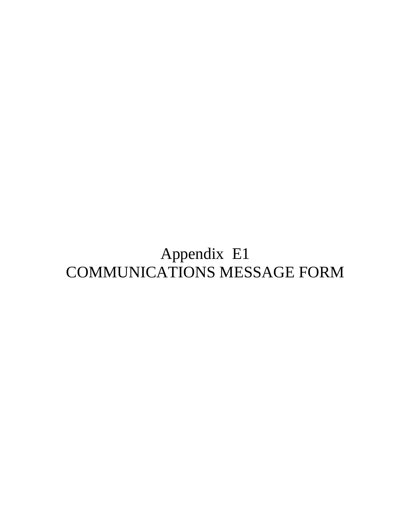# Appendix E1 COMMUNICATIONS MESSAGE FORM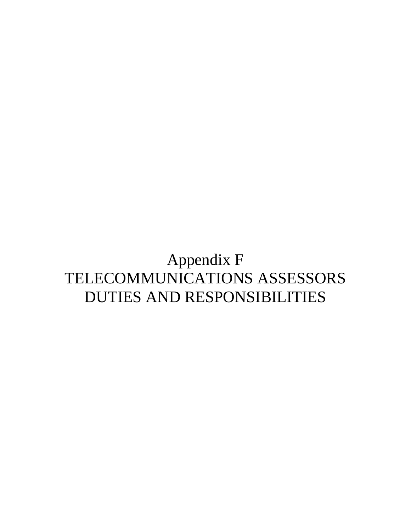## Appendix F TELECOMMUNICATIONS ASSESSORS DUTIES AND RESPONSIBILITIES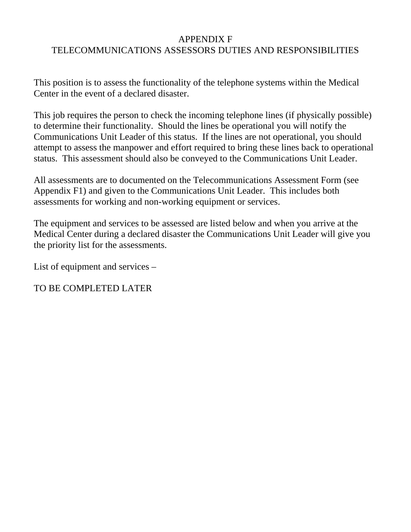#### APPENDIX F

#### TELECOMMUNICATIONS ASSESSORS DUTIES AND RESPONSIBILITIES

This position is to assess the functionality of the telephone systems within the Medical Center in the event of a declared disaster.

This job requires the person to check the incoming telephone lines (if physically possible) to determine their functionality. Should the lines be operational you will notify the Communications Unit Leader of this status. If the lines are not operational, you should attempt to assess the manpower and effort required to bring these lines back to operational status. This assessment should also be conveyed to the Communications Unit Leader.

All assessments are to documented on the Telecommunications Assessment Form (see Appendix F1) and given to the Communications Unit Leader. This includes both assessments for working and non-working equipment or services.

The equipment and services to be assessed are listed below and when you arrive at the Medical Center during a declared disaster the Communications Unit Leader will give you the priority list for the assessments.

List of equipment and services –

TO BE COMPLETED LATER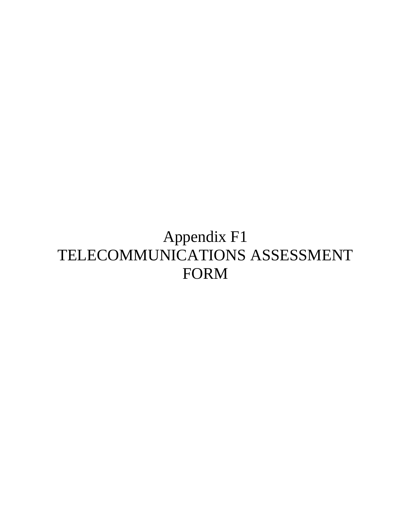# Appendix F1 TELECOMMUNICATIONS ASSESSMENT FORM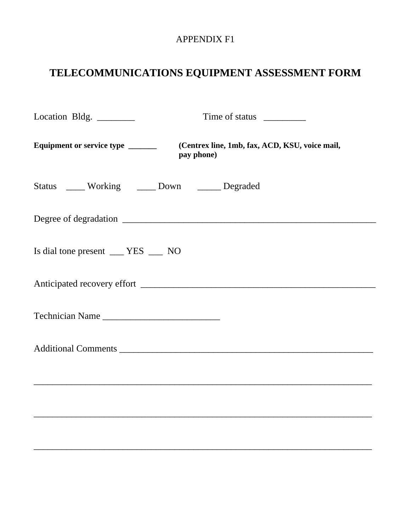#### APPENDIX F1

### **TELECOMMUNICATIONS EQUIPMENT ASSESSMENT FORM**

| Location Bldg. ______                          |                                                              |
|------------------------------------------------|--------------------------------------------------------------|
| Equipment or service type _______              | (Centrex line, 1mb, fax, ACD, KSU, voice mail,<br>pay phone) |
| Status _____ Working _____ Down _____ Degraded |                                                              |
|                                                |                                                              |
| Is dial tone present ___ YES __ NO             |                                                              |
|                                                |                                                              |
| Technician Name                                |                                                              |
|                                                |                                                              |
|                                                |                                                              |
|                                                |                                                              |
|                                                |                                                              |

\_\_\_\_\_\_\_\_\_\_\_\_\_\_\_\_\_\_\_\_\_\_\_\_\_\_\_\_\_\_\_\_\_\_\_\_\_\_\_\_\_\_\_\_\_\_\_\_\_\_\_\_\_\_\_\_\_\_\_\_\_\_\_\_\_\_\_\_\_\_\_\_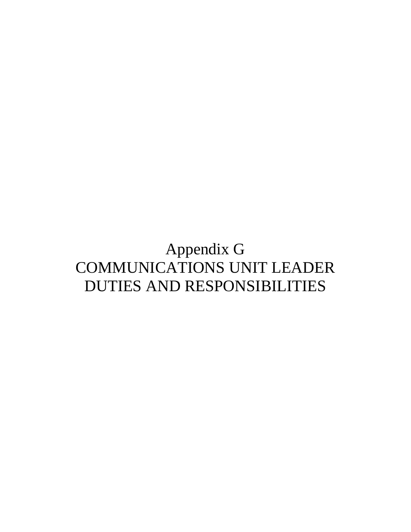### Appendix G COMMUNICATIONS UNIT LEADER DUTIES AND RESPONSIBILITIES